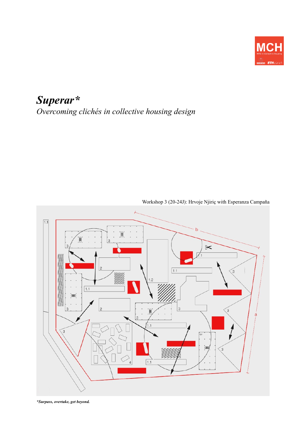

# *Superar\* Overcoming clichés in collective housing design*



Workshop 3 (20-24J): Hrvoje Njiriç with Esperanza Campaña

*\*Surpass, overtake, get beyond.*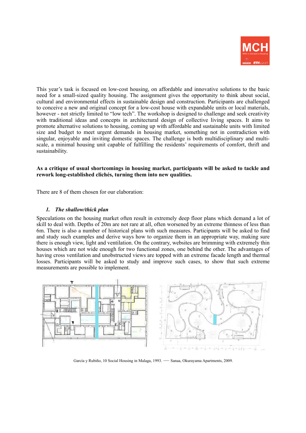

This year's task is focused on low-cost housing, on affordable and innovative solutions to the basic need for a small-sized quality housing. The assignment gives the opportunity to think about social, cultural and environmental effects in sustainable design and construction. Participants are challenged to conceive a new and original concept for a low-cost house with expandable units or local materials, however - not strictly limited to "low tech". The workshop is designed to challenge and seek creativity with traditional ideas and concepts in architectural design of collective living spaces. It aims to promote alternative solutions to housing, coming up with affordable and sustainable units with limited size and budget to meet urgent demands in housing market, something not in contradiction with singular, enjoyable and inviting domestic spaces. The challenge is both multidisciplinary and multiscale, a minimal housing unit capable of fulfilling the residents' requirements of comfort, thrift and sustainability.

#### **As a critique of usual shortcomings in housing market, participants will be asked to tackle and rework long-established clichés, turning them into new qualities.**

There are 8 of them chosen for our elaboration:

#### *1. The shallow/thick plan*

Speculations on the housing market often result in extremely deep floor plans which demand a lot of skill to deal with. Depths of 20m are not rare at all, often worsened by an extreme thinness of less than 6m. There is also a number of historical plans with such measures. Participants will be asked to find and study such examples and derive ways how to organize them in an appropriate way, making sure there is enough view, light and ventilation. On the contrary, websites are brimming with extremely thin houses which are not wide enough for two functional zones, one behind the other. The advantages of having cross ventilation and unobstructed views are topped with an extreme facade length and thermal losses. Participants will be asked to study and improve such cases, to show that such extreme measurements are possible to implement.



García y Rubiño, 10 Social Housing in Malaga, 1993. — Sanaa, Okurayama Apartments, 2009.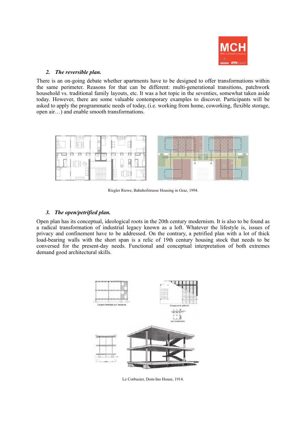

#### *2. The reversible plan.*

There is an on-going debate whether apartments have to be designed to offer transformations within the same perimeter. Reasons for that can be different: multi-generational transitions, patchwork household vs. traditional family layouts, etc. It was a hot topic in the seventies, somewhat taken aside today. However, there are some valuable contemporary examples to discover. Participants will be asked to apply the programmatic needs of today, (i.e. working from home, coworking, flexible storage, open air…) and enable smooth transformations.



Riegler Riewe, Bahnhofstrasse Housing in Graz, 1994.

# *3. The open/petrified plan.*

Open plan has its conceptual, ideological roots in the 20th century modernism. It is also to be found as a radical transformation of industrial legacy known as a loft. Whatever the lifestyle is, issues of privacy and confinement have to be addressed. On the contrary, a petrified plan with a lot of thick load-bearing walls with the short span is a relic of 19th century housing stock that needs to be conversed for the present-day needs. Functional and conceptual interpretation of both extremes demand good architectural skills.



Le Corbusier, Dom-Ino House, 1914.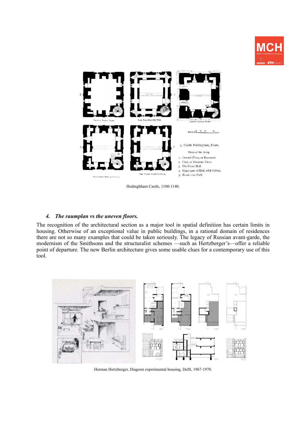



Hedinghham Castle, 1100-1140.

### *4. The raumplan vs the uneven floors.*

The recognition of the architectural section as a major tool in spatial definition has certain limits in housing. Otherwise of an exceptional value in public buildings, in a rational domain of residences there are not so many examples that could be taken seriously. The legacy of Russian avant-garde, the modernism of the Smithsons and the structuralist schemes —such as Hertzberger's—offer a reliable point of departure. The new Berlin architecture gives some usable clues for a contemporary use of this tool.



Herman Hertzberger, Diagoon experimental housing, Delft, 1967-1970.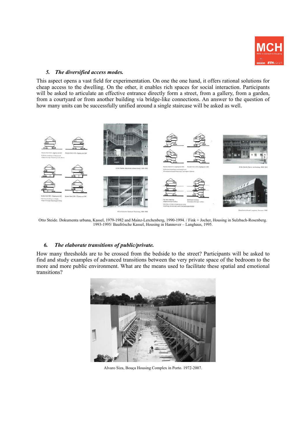

# *5. The diversified access modes.*

This aspect opens a vast field for experimentation. On one the one hand, it offers rational solutions for cheap access to the dwelling. On the other, it enables rich spaces for social interaction. Participants will be asked to articulate an effective entrance directly form a street, from a gallery, from a garden, from a courtyard or from another building via bridge-like connections. An answer to the question of how many units can be successfully unified around a single staircase will be asked as well.



Otto Steide. Dokumenta urbana, Kassel, 1979-1982 and Mainz-Lerchenberg, 1990-1994. / Fink + Jocher, Housing in Sulzbach-Rosenberg. 1993-1995/ Baufrösche Kassel, Housing in Hannover – Langhaus, 1995.

#### *6. The elaborate transitions of public/private.*

How many thresholds are to be crossed from the bedside to the street? Participants will be asked to find and study examples of advanced transitions between the very private space of the bedroom to the more and more public environment. What are the means used to facilitate these spatial and emotional transitions?



Alvaro Siza, Bouça Housing Complex in Porto. 1972-2007.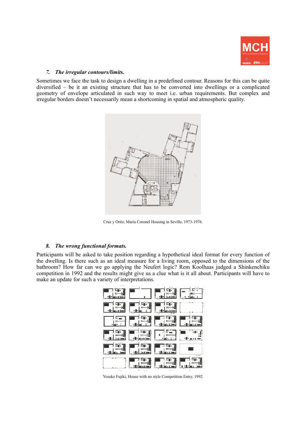

#### *7. The irregular contours/limits.*

Sometimes we face the task to design a dwelling in a predefined contour. Reasons for this can be quite diversified – be it an existing structure that has to be converted into dwellings or a complicated geometry of envelope articulated in such way to meet i.e. urban requirements. But complex and irregular borders doesn't necessarily mean a shortcoming in spatial and atmospheric quality.



Cruz y Ortiz, María Coronel Housing in Seville, 1973-1976.

#### *8. The wrong functional formats.*

Participants will be asked to take position regarding a hypothetical ideal format for every function of the dwelling. Is there such as an ideal measure for a living room, opposed to the dimensions of the bathroom? How far can we go applying the Neufert logic? Rem Koolhaas judged a Shinkenchiku competition in 1992 and the results might give us a clue what is it all about. Participants will have to make an update for such a variety of interpretations.

|                                                | $\frac{1}{2}$ $\frac{1}{2}$ $\frac{1}{2}$ $\frac{1}{2}$ $\frac{1}{2}$ $\frac{1}{2}$ $\frac{1}{2}$ $\frac{1}{2}$ $\frac{1}{2}$ $\frac{1}{2}$ $\frac{1}{2}$ $\frac{1}{2}$ $\frac{1}{2}$ $\frac{1}{2}$ $\frac{1}{2}$ $\frac{1}{2}$ $\frac{1}{2}$ $\frac{1}{2}$ $\frac{1}{2}$ $\frac{1}{2}$ $\frac{1}{2}$ $\frac{1}{2}$ |      |
|------------------------------------------------|---------------------------------------------------------------------------------------------------------------------------------------------------------------------------------------------------------------------------------------------------------------------------------------------------------------------|------|
| <b>Barbara</b>                                 | $\frac{1}{\cdot}$                                                                                                                                                                                                                                                                                                   |      |
| $\exists$ of $\blacksquare$<br><u> Tel Fér</u> |                                                                                                                                                                                                                                                                                                                     |      |
| FERENCE                                        |                                                                                                                                                                                                                                                                                                                     | a de |
| <b>Friday Friday</b>                           |                                                                                                                                                                                                                                                                                                                     |      |
|                                                |                                                                                                                                                                                                                                                                                                                     |      |

Yosuke Fujiki, House with no style Competition Entry, 1992.

 $\overline{11}$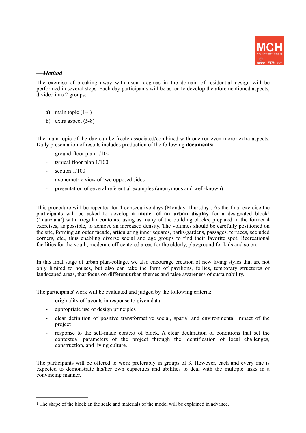<span id="page-6-1"></span>

# *—Method*

The exercise of breaking away with usual dogmas in the domain of residential design will be performed in several steps. Each day participants will be asked to develop the aforementioned aspects, divided into 2 groups:

- a) main topic (1-4)
- b) extra aspect (5-8)

The main topic of the day can be freely associated/combined with one (or even more) extra aspects. Daily presentation of results includes production of the following **documents:**

- ground-floor plan  $1/100$
- typical floor plan  $1/100$
- section 1/100
- axonometric view of two opposed sides
- presentation of several referential examples (anonymous and well-known)

This procedure will be repeated for 4 consecutive days (Monday-Thursday). As the final exercise the participants will be asked to develop **a model of an urban display** for a designated block<sup>1</sup> ('manzana') with irregular contours, using as many of the building blocks, prepared in the former 4 exercises, as possible, to achieve an increased density. The volumes should be carefully positioned on the site, forming an outer facade, articulating inner squares, parks/gardens, passages, terraces, secluded corners, etc., thus enabling diverse social and age groups to find their favorite spot. Recreational facilities for the youth, moderate off-centered areas for the elderly, playground for kids and so on.

In this final stage of urban plan/collage, we also encourage creation of new living styles that are not only limited to houses, but also can take the form of pavilions, follies, temporary structures or landscaped areas, that focus on different urban themes and raise awareness of sustainability.

The participants' work will be evaluated and judged by the following criteria:

- originality of layouts in response to given data
- appropriate use of design principles
- clear definition of positive transformative social, spatial and environmental impact of the project
- response to the self-made context of block. A clear declaration of conditions that set the contextual parameters of the project through the identification of local challenges, construction, and living culture.

The participants will be offered to work preferably in groups of 3. However, each and every one is expected to demonstrate his/her own capacities and abilities to deal with the multiple tasks in a convincing manner.

<span id="page-6-0"></span> $\frac{1}{1}$  $\frac{1}{1}$  $\frac{1}{1}$  The shape of the block an the scale and materials of the model will be explained in advance.